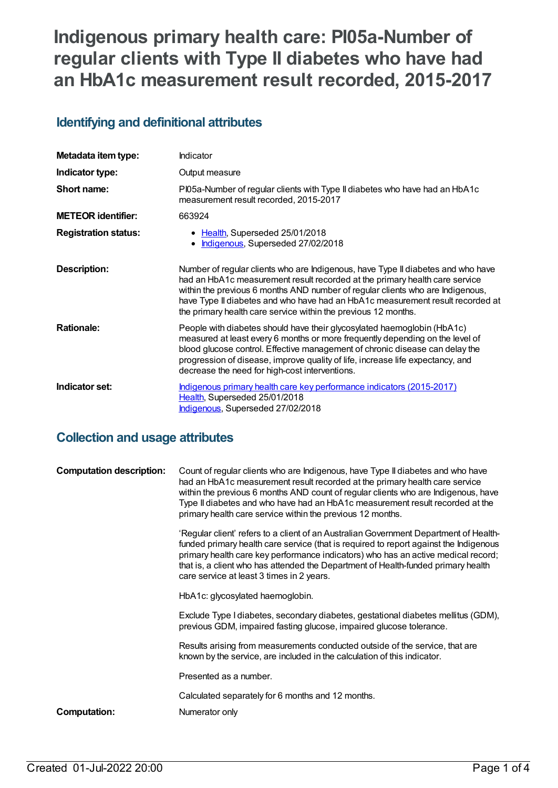# **Indigenous primary health care: PI05a-Number of regular clients with Type II diabetes who have had an HbA1c measurement result recorded, 2015-2017**

### **Identifying and definitional attributes**

| Metadata item type:         | Indicator                                                                                                                                                                                                                                                                                                                                                                                             |
|-----------------------------|-------------------------------------------------------------------------------------------------------------------------------------------------------------------------------------------------------------------------------------------------------------------------------------------------------------------------------------------------------------------------------------------------------|
| Indicator type:             | Output measure                                                                                                                                                                                                                                                                                                                                                                                        |
| Short name:                 | PI05a-Number of regular clients with Type II diabetes who have had an HbA1c<br>measurement result recorded, 2015-2017                                                                                                                                                                                                                                                                                 |
| <b>METEOR</b> identifier:   | 663924                                                                                                                                                                                                                                                                                                                                                                                                |
| <b>Registration status:</b> | • Health, Superseded 25/01/2018<br>Indigenous, Superseded 27/02/2018                                                                                                                                                                                                                                                                                                                                  |
| <b>Description:</b>         | Number of regular clients who are Indigenous, have Type II diabetes and who have<br>had an HbA1c measurement result recorded at the primary health care service<br>within the previous 6 months AND number of regular clients who are Indigenous,<br>have Type II diabetes and who have had an HbA1c measurement result recorded at<br>the primary health care service within the previous 12 months. |
| <b>Rationale:</b>           | People with diabetes should have their glycosylated haemoglobin (HbA1c)<br>measured at least every 6 months or more frequently depending on the level of<br>blood glucose control. Effective management of chronic disease can delay the<br>progression of disease, improve quality of life, increase life expectancy, and<br>decrease the need for high-cost interventions.                          |
| Indicator set:              | Indigenous primary health care key performance indicators (2015-2017)<br>Health, Superseded 25/01/2018<br>Indigenous, Superseded 27/02/2018                                                                                                                                                                                                                                                           |

### **Collection and usage attributes**

| <b>Computation description:</b> | Count of regular clients who are Indigenous, have Type II diabetes and who have<br>had an HbA1c measurement result recorded at the primary health care service<br>within the previous 6 months AND count of regular clients who are Indigenous, have<br>Type II diabetes and who have had an HbA1c measurement result recorded at the<br>primary health care service within the previous 12 months.   |
|---------------------------------|-------------------------------------------------------------------------------------------------------------------------------------------------------------------------------------------------------------------------------------------------------------------------------------------------------------------------------------------------------------------------------------------------------|
|                                 | 'Regular client' refers to a client of an Australian Government Department of Health-<br>funded primary health care service (that is required to report against the Indigenous<br>primary health care key performance indicators) who has an active medical record;<br>that is, a client who has attended the Department of Health-funded primary health<br>care service at least 3 times in 2 years. |
|                                 | HbA1c: glycosylated haemoglobin.                                                                                                                                                                                                                                                                                                                                                                      |
|                                 | Exclude Type I diabetes, secondary diabetes, gestational diabetes mellitus (GDM),<br>previous GDM, impaired fasting glucose, impaired glucose tolerance.                                                                                                                                                                                                                                              |
|                                 | Results arising from measurements conducted outside of the service, that are<br>known by the service, are included in the calculation of this indicator.                                                                                                                                                                                                                                              |
|                                 | Presented as a number.                                                                                                                                                                                                                                                                                                                                                                                |
|                                 | Calculated separately for 6 months and 12 months.                                                                                                                                                                                                                                                                                                                                                     |
| Computation:                    | Numerator only                                                                                                                                                                                                                                                                                                                                                                                        |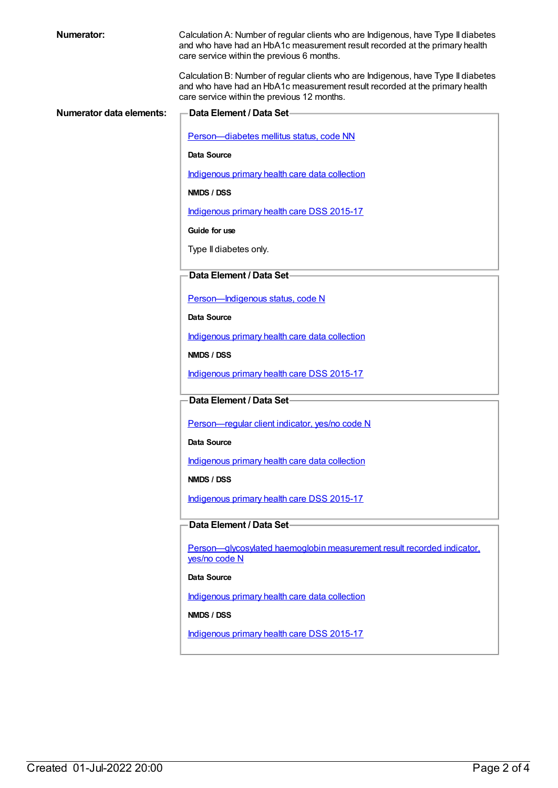| <b>Numerator:</b>               | Calculation A: Number of regular clients who are Indigenous, have Type II diabetes<br>and who have had an HbA1c measurement result recorded at the primary health<br>care service within the previous 6 months.  |
|---------------------------------|------------------------------------------------------------------------------------------------------------------------------------------------------------------------------------------------------------------|
|                                 | Calculation B: Number of regular clients who are Indigenous, have Type II diabetes<br>and who have had an HbA1c measurement result recorded at the primary health<br>care service within the previous 12 months. |
| <b>Numerator data elements:</b> | Data Element / Data Set-                                                                                                                                                                                         |
|                                 |                                                                                                                                                                                                                  |
|                                 | Person-diabetes mellitus status, code NN                                                                                                                                                                         |
|                                 | Data Source                                                                                                                                                                                                      |
|                                 | Indigenous primary health care data collection                                                                                                                                                                   |
|                                 | NMDS / DSS                                                                                                                                                                                                       |
|                                 | Indigenous primary health care DSS 2015-17                                                                                                                                                                       |
|                                 | Guide for use                                                                                                                                                                                                    |
|                                 | Type II diabetes only.                                                                                                                                                                                           |
|                                 |                                                                                                                                                                                                                  |
|                                 | Data Element / Data Set-                                                                                                                                                                                         |
|                                 | Person-Indigenous status, code N                                                                                                                                                                                 |
|                                 | Data Source                                                                                                                                                                                                      |
|                                 | Indigenous primary health care data collection                                                                                                                                                                   |
|                                 | NMDS / DSS                                                                                                                                                                                                       |
|                                 | Indigenous primary health care DSS 2015-17                                                                                                                                                                       |
|                                 | Data Element / Data Set                                                                                                                                                                                          |
|                                 |                                                                                                                                                                                                                  |
|                                 | Person-regular client indicator, yes/no code N                                                                                                                                                                   |
|                                 | Data Source                                                                                                                                                                                                      |
|                                 | Indigenous primary health care data collection                                                                                                                                                                   |
|                                 | NMDS / DSS                                                                                                                                                                                                       |
|                                 | Indigenous primary health care DSS 2015-17                                                                                                                                                                       |
|                                 | Data Element / Data Set-                                                                                                                                                                                         |
|                                 |                                                                                                                                                                                                                  |
|                                 | Person-glycosylated haemoglobin measurement result recorded indicator.<br>yes/no code N                                                                                                                          |
|                                 | Data Source                                                                                                                                                                                                      |
|                                 | Indigenous primary health care data collection                                                                                                                                                                   |
|                                 | NMDS / DSS                                                                                                                                                                                                       |
|                                 | Indigenous primary health care DSS 2015-17                                                                                                                                                                       |
|                                 |                                                                                                                                                                                                                  |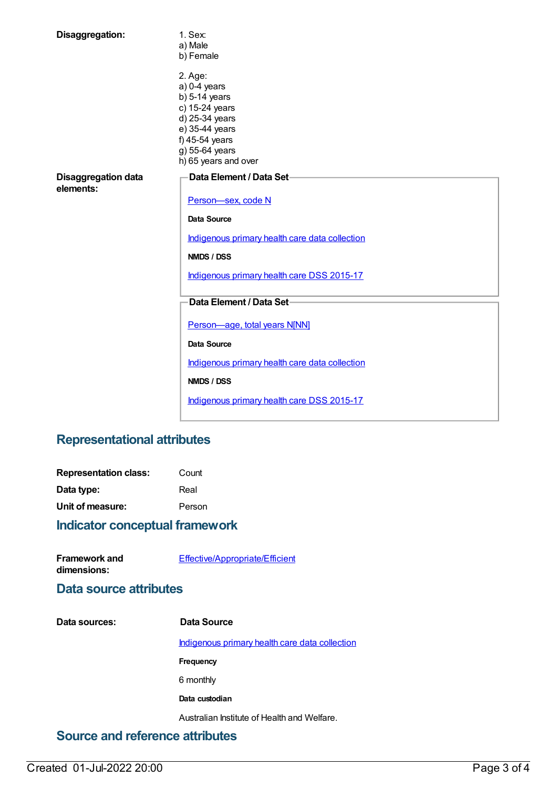| Disaggregation:                         | 1. Sex:<br>a) Male                                                                                                                                                                 |  |
|-----------------------------------------|------------------------------------------------------------------------------------------------------------------------------------------------------------------------------------|--|
|                                         | b) Female<br>2. Age:<br>$a) 0-4$ years<br>$b)$ 5-14 years<br>c) 15-24 years<br>d) 25-34 years<br>e) 35-44 years<br>f) 45-54 years                                                  |  |
|                                         | g) 55-64 years<br>h) 65 years and over                                                                                                                                             |  |
| <b>Disaggregation data</b><br>elements: | Data Element / Data Set-<br>Person-sex, code N<br><b>Data Source</b><br>Indigenous primary health care data collection<br>NMDS / DSS<br>Indigenous primary health care DSS 2015-17 |  |
|                                         |                                                                                                                                                                                    |  |
|                                         | Data Element / Data Set-                                                                                                                                                           |  |
|                                         | Person-age, total years N[NN]                                                                                                                                                      |  |
|                                         | <b>Data Source</b>                                                                                                                                                                 |  |
|                                         | Indigenous primary health care data collection                                                                                                                                     |  |
|                                         | NMDS / DSS                                                                                                                                                                         |  |
|                                         | Indigenous primary health care DSS 2015-17                                                                                                                                         |  |

## **Representational attributes**

| <b>Representation class:</b> | Count  |  |
|------------------------------|--------|--|
| Data type:                   | Real   |  |
| Unit of measure:             | Person |  |
|                              |        |  |

#### **Indicator conceptual framework**

| Framework and | <b>Effective/Appropriate/Efficient</b> |
|---------------|----------------------------------------|
| dimensions:   |                                        |

#### **Data source attributes**

**Data sources: Data Source** [Indigenous](https://meteor.aihw.gov.au/content/430643) primary health care data collection **Frequency** 6 monthly **Data custodian** Australian Institute of Health and Welfare.

## **Source and reference attributes**